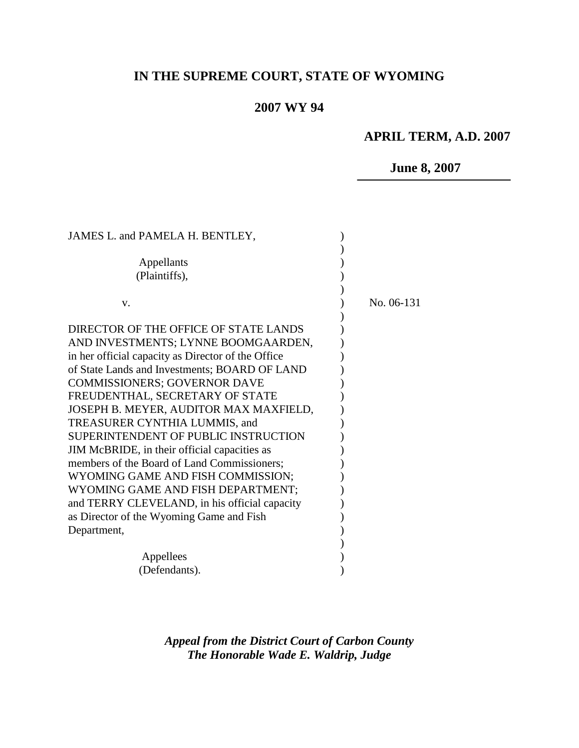# **IN THE SUPREME COURT, STATE OF WYOMING**

# **2007 WY 94**

# **APRIL TERM, A.D. 2007**

# **June 8, 2007**

| JAMES L. and PAMELA H. BENTLEY,                    |            |
|----------------------------------------------------|------------|
| Appellants<br>(Plaintiffs),                        |            |
| V.                                                 | No. 06-131 |
| DIRECTOR OF THE OFFICE OF STATE LANDS              |            |
| AND INVESTMENTS; LYNNE BOOMGAARDEN,                |            |
| in her official capacity as Director of the Office |            |
| of State Lands and Investments; BOARD OF LAND      |            |
| <b>COMMISSIONERS; GOVERNOR DAVE</b>                |            |
| FREUDENTHAL, SECRETARY OF STATE                    |            |
| JOSEPH B. MEYER, AUDITOR MAX MAXFIELD,             |            |
| TREASURER CYNTHIA LUMMIS, and                      |            |
| <b>SUPERINTENDENT OF PUBLIC INSTRUCTION</b>        |            |
| JIM McBRIDE, in their official capacities as       |            |
| members of the Board of Land Commissioners;        |            |
| WYOMING GAME AND FISH COMMISSION;                  |            |
| WYOMING GAME AND FISH DEPARTMENT;                  |            |
| and TERRY CLEVELAND, in his official capacity      |            |
| as Director of the Wyoming Game and Fish           |            |
| Department,                                        |            |
|                                                    |            |
| Appellees                                          |            |
| (Defendants).                                      |            |
|                                                    |            |

*Appeal from the District Court of Carbon County The Honorable Wade E. Waldrip, Judge*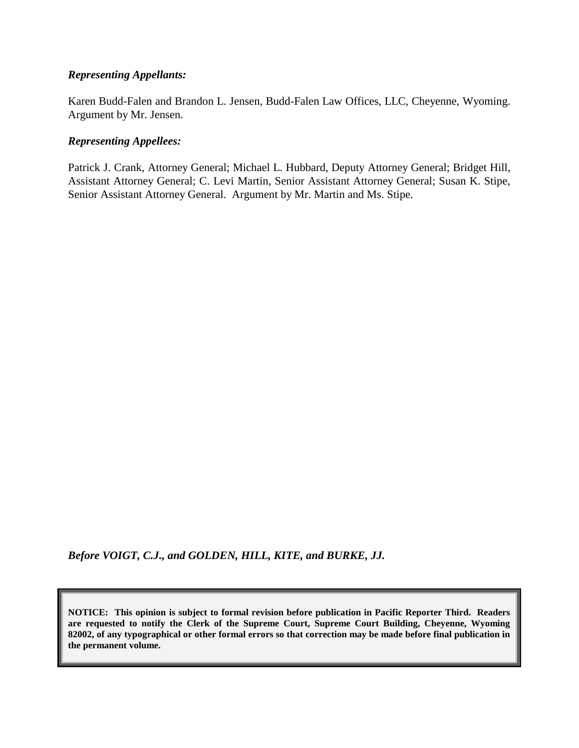### *Representing Appellants:*

Karen Budd-Falen and Brandon L. Jensen, Budd-Falen Law Offices, LLC, Cheyenne, Wyoming. Argument by Mr. Jensen.

### *Representing Appellees:*

Patrick J. Crank, Attorney General; Michael L. Hubbard, Deputy Attorney General; Bridget Hill, Assistant Attorney General; C. Levi Martin, Senior Assistant Attorney General; Susan K. Stipe, Senior Assistant Attorney General. Argument by Mr. Martin and Ms. Stipe.

*Before VOIGT, C.J., and GOLDEN, HILL, KITE, and BURKE, JJ.*

**NOTICE: This opinion is subject to formal revision before publication in Pacific Reporter Third. Readers are requested to notify the Clerk of the Supreme Court, Supreme Court Building, Cheyenne, Wyoming 82002, of any typographical or other formal errors so that correction may be made before final publication in the permanent volume.**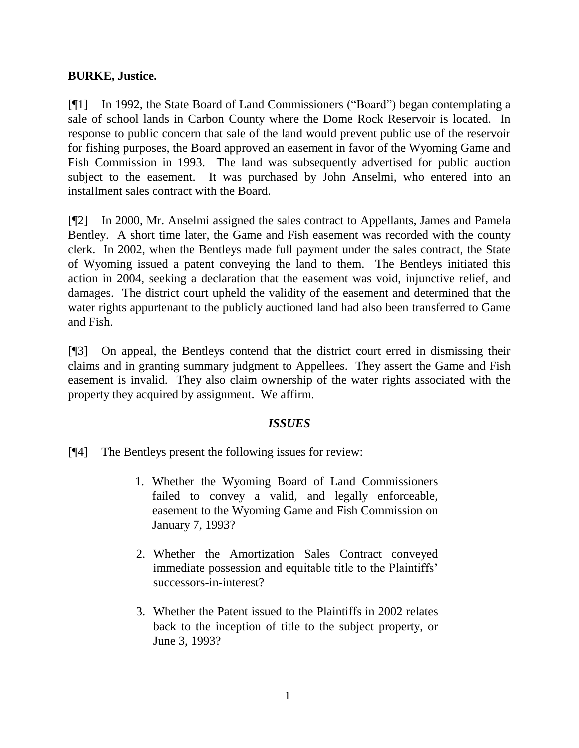## **BURKE, Justice.**

[¶1] In 1992, the State Board of Land Commissioners ("Board") began contemplating a sale of school lands in Carbon County where the Dome Rock Reservoir is located. In response to public concern that sale of the land would prevent public use of the reservoir for fishing purposes, the Board approved an easement in favor of the Wyoming Game and Fish Commission in 1993. The land was subsequently advertised for public auction subject to the easement. It was purchased by John Anselmi, who entered into an installment sales contract with the Board.

[¶2] In 2000, Mr. Anselmi assigned the sales contract to Appellants, James and Pamela Bentley. A short time later, the Game and Fish easement was recorded with the county clerk. In 2002, when the Bentleys made full payment under the sales contract, the State of Wyoming issued a patent conveying the land to them. The Bentleys initiated this action in 2004, seeking a declaration that the easement was void, injunctive relief, and damages. The district court upheld the validity of the easement and determined that the water rights appurtenant to the publicly auctioned land had also been transferred to Game and Fish.

[¶3] On appeal, the Bentleys contend that the district court erred in dismissing their claims and in granting summary judgment to Appellees. They assert the Game and Fish easement is invalid. They also claim ownership of the water rights associated with the property they acquired by assignment. We affirm.

### *ISSUES*

- [¶4] The Bentleys present the following issues for review:
	- 1. Whether the Wyoming Board of Land Commissioners failed to convey a valid, and legally enforceable, easement to the Wyoming Game and Fish Commission on January 7, 1993?
	- 2. Whether the Amortization Sales Contract conveyed immediate possession and equitable title to the Plaintiffs' successors-in-interest?
	- 3. Whether the Patent issued to the Plaintiffs in 2002 relates back to the inception of title to the subject property, or June 3, 1993?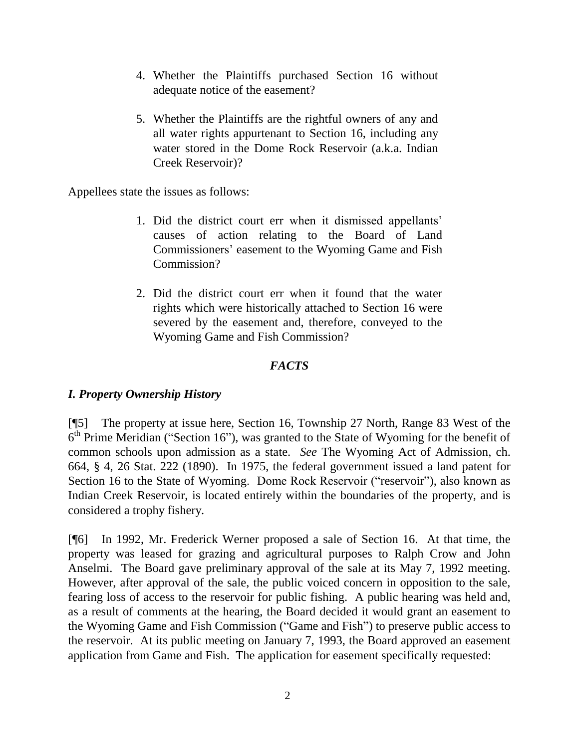- 4. Whether the Plaintiffs purchased Section 16 without adequate notice of the easement?
- 5. Whether the Plaintiffs are the rightful owners of any and all water rights appurtenant to Section 16, including any water stored in the Dome Rock Reservoir (a.k.a. Indian Creek Reservoir)?

Appellees state the issues as follows:

- 1. Did the district court err when it dismissed appellants" causes of action relating to the Board of Land Commissioners" easement to the Wyoming Game and Fish Commission?
- 2. Did the district court err when it found that the water rights which were historically attached to Section 16 were severed by the easement and, therefore, conveyed to the Wyoming Game and Fish Commission?

# *FACTS*

## *I. Property Ownership History*

[¶5] The property at issue here, Section 16, Township 27 North, Range 83 West of the  $6<sup>th</sup>$  Prime Meridian ("Section 16"), was granted to the State of Wyoming for the benefit of common schools upon admission as a state. *See* The Wyoming Act of Admission, ch. 664, § 4, 26 Stat. 222 (1890). In 1975, the federal government issued a land patent for Section 16 to the State of Wyoming. Dome Rock Reservoir ("reservoir"), also known as Indian Creek Reservoir, is located entirely within the boundaries of the property, and is considered a trophy fishery.

[¶6] In 1992, Mr. Frederick Werner proposed a sale of Section 16. At that time, the property was leased for grazing and agricultural purposes to Ralph Crow and John Anselmi. The Board gave preliminary approval of the sale at its May 7, 1992 meeting. However, after approval of the sale, the public voiced concern in opposition to the sale, fearing loss of access to the reservoir for public fishing. A public hearing was held and, as a result of comments at the hearing, the Board decided it would grant an easement to the Wyoming Game and Fish Commission ("Game and Fish") to preserve public access to the reservoir. At its public meeting on January 7, 1993, the Board approved an easement application from Game and Fish. The application for easement specifically requested: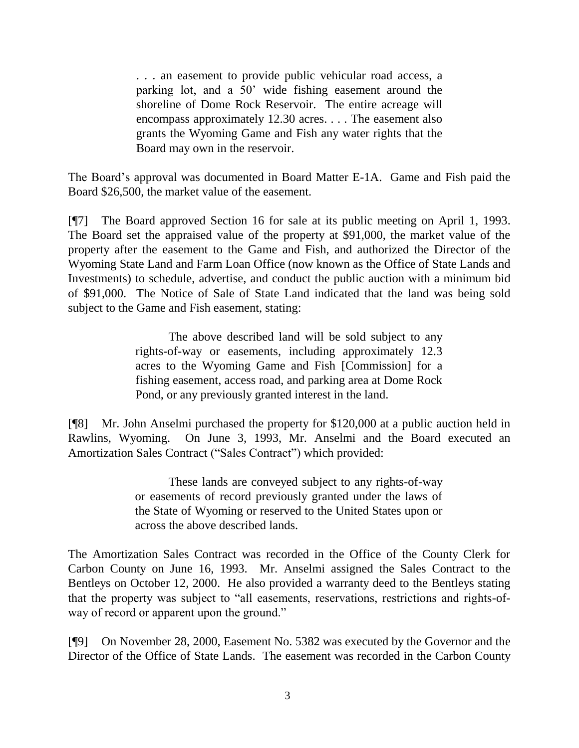. . . an easement to provide public vehicular road access, a parking lot, and a 50" wide fishing easement around the shoreline of Dome Rock Reservoir. The entire acreage will encompass approximately 12.30 acres. . . . The easement also grants the Wyoming Game and Fish any water rights that the Board may own in the reservoir.

The Board"s approval was documented in Board Matter E-1A. Game and Fish paid the Board \$26,500, the market value of the easement.

[¶7] The Board approved Section 16 for sale at its public meeting on April 1, 1993. The Board set the appraised value of the property at \$91,000, the market value of the property after the easement to the Game and Fish, and authorized the Director of the Wyoming State Land and Farm Loan Office (now known as the Office of State Lands and Investments) to schedule, advertise, and conduct the public auction with a minimum bid of \$91,000. The Notice of Sale of State Land indicated that the land was being sold subject to the Game and Fish easement, stating:

> The above described land will be sold subject to any rights-of-way or easements, including approximately 12.3 acres to the Wyoming Game and Fish [Commission] for a fishing easement, access road, and parking area at Dome Rock Pond, or any previously granted interest in the land.

[¶8] Mr. John Anselmi purchased the property for \$120,000 at a public auction held in Rawlins, Wyoming. On June 3, 1993, Mr. Anselmi and the Board executed an Amortization Sales Contract ("Sales Contract") which provided:

> These lands are conveyed subject to any rights-of-way or easements of record previously granted under the laws of the State of Wyoming or reserved to the United States upon or across the above described lands.

The Amortization Sales Contract was recorded in the Office of the County Clerk for Carbon County on June 16, 1993. Mr. Anselmi assigned the Sales Contract to the Bentleys on October 12, 2000. He also provided a warranty deed to the Bentleys stating that the property was subject to "all easements, reservations, restrictions and rights-ofway of record or apparent upon the ground."

[¶9] On November 28, 2000, Easement No. 5382 was executed by the Governor and the Director of the Office of State Lands. The easement was recorded in the Carbon County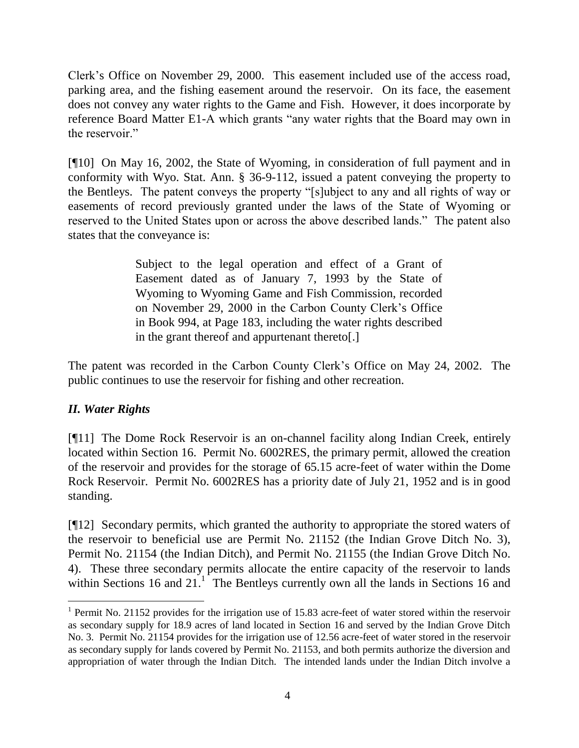Clerk"s Office on November 29, 2000. This easement included use of the access road, parking area, and the fishing easement around the reservoir. On its face, the easement does not convey any water rights to the Game and Fish. However, it does incorporate by reference Board Matter E1-A which grants "any water rights that the Board may own in the reservoir."

[¶10] On May 16, 2002, the State of Wyoming, in consideration of full payment and in conformity with Wyo. Stat. Ann. § 36-9-112, issued a patent conveying the property to the Bentleys. The patent conveys the property "[s]ubject to any and all rights of way or easements of record previously granted under the laws of the State of Wyoming or reserved to the United States upon or across the above described lands." The patent also states that the conveyance is:

> Subject to the legal operation and effect of a Grant of Easement dated as of January 7, 1993 by the State of Wyoming to Wyoming Game and Fish Commission, recorded on November 29, 2000 in the Carbon County Clerk"s Office in Book 994, at Page 183, including the water rights described in the grant thereof and appurtenant thereto[.]

The patent was recorded in the Carbon County Clerk"s Office on May 24, 2002. The public continues to use the reservoir for fishing and other recreation.

# *II. Water Rights*

 $\overline{a}$ 

[¶11] The Dome Rock Reservoir is an on-channel facility along Indian Creek, entirely located within Section 16. Permit No. 6002RES, the primary permit, allowed the creation of the reservoir and provides for the storage of 65.15 acre-feet of water within the Dome Rock Reservoir. Permit No. 6002RES has a priority date of July 21, 1952 and is in good standing.

[¶12] Secondary permits, which granted the authority to appropriate the stored waters of the reservoir to beneficial use are Permit No. 21152 (the Indian Grove Ditch No. 3), Permit No. 21154 (the Indian Ditch), and Permit No. 21155 (the Indian Grove Ditch No. 4). These three secondary permits allocate the entire capacity of the reservoir to lands within Sections 16 and  $21<sup>1</sup>$ . The Bentleys currently own all the lands in Sections 16 and

<sup>&</sup>lt;sup>1</sup> Permit No. 21152 provides for the irrigation use of 15.83 acre-feet of water stored within the reservoir as secondary supply for 18.9 acres of land located in Section 16 and served by the Indian Grove Ditch No. 3. Permit No. 21154 provides for the irrigation use of 12.56 acre-feet of water stored in the reservoir as secondary supply for lands covered by Permit No. 21153, and both permits authorize the diversion and appropriation of water through the Indian Ditch. The intended lands under the Indian Ditch involve a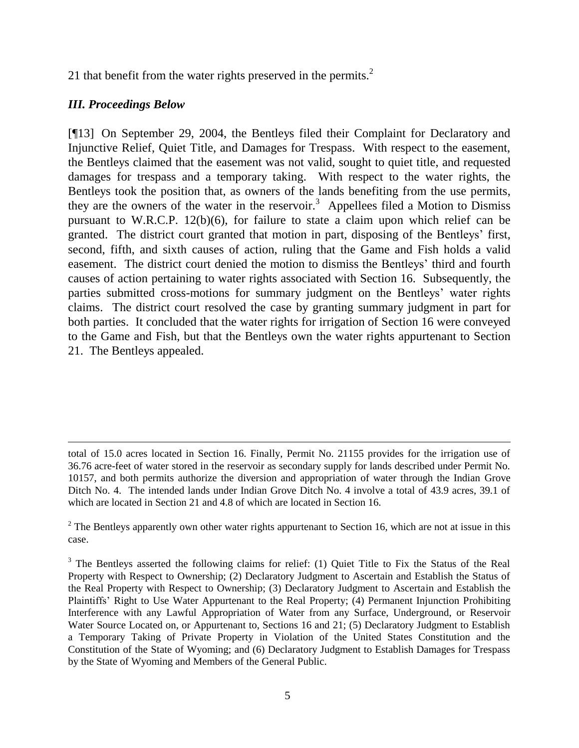21 that benefit from the water rights preserved in the permits. $2$ 

## *III. Proceedings Below*

 $\overline{a}$ 

[¶13] On September 29, 2004, the Bentleys filed their Complaint for Declaratory and Injunctive Relief, Quiet Title, and Damages for Trespass. With respect to the easement, the Bentleys claimed that the easement was not valid, sought to quiet title, and requested damages for trespass and a temporary taking. With respect to the water rights, the Bentleys took the position that, as owners of the lands benefiting from the use permits, they are the owners of the water in the reservoir.<sup>3</sup> Appellees filed a Motion to Dismiss pursuant to W.R.C.P. 12(b)(6), for failure to state a claim upon which relief can be granted. The district court granted that motion in part, disposing of the Bentleys" first, second, fifth, and sixth causes of action, ruling that the Game and Fish holds a valid easement. The district court denied the motion to dismiss the Bentleys" third and fourth causes of action pertaining to water rights associated with Section 16. Subsequently, the parties submitted cross-motions for summary judgment on the Bentleys' water rights claims. The district court resolved the case by granting summary judgment in part for both parties. It concluded that the water rights for irrigation of Section 16 were conveyed to the Game and Fish, but that the Bentleys own the water rights appurtenant to Section 21. The Bentleys appealed.

total of 15.0 acres located in Section 16. Finally, Permit No. 21155 provides for the irrigation use of 36.76 acre-feet of water stored in the reservoir as secondary supply for lands described under Permit No. 10157, and both permits authorize the diversion and appropriation of water through the Indian Grove Ditch No. 4. The intended lands under Indian Grove Ditch No. 4 involve a total of 43.9 acres, 39.1 of which are located in Section 21 and 4.8 of which are located in Section 16.

 $2$  The Bentleys apparently own other water rights appurtenant to Section 16, which are not at issue in this case.

<sup>&</sup>lt;sup>3</sup> The Bentleys asserted the following claims for relief: (1) Quiet Title to Fix the Status of the Real Property with Respect to Ownership; (2) Declaratory Judgment to Ascertain and Establish the Status of the Real Property with Respect to Ownership; (3) Declaratory Judgment to Ascertain and Establish the Plaintiffs" Right to Use Water Appurtenant to the Real Property; (4) Permanent Injunction Prohibiting Interference with any Lawful Appropriation of Water from any Surface, Underground, or Reservoir Water Source Located on, or Appurtenant to, Sections 16 and 21; (5) Declaratory Judgment to Establish a Temporary Taking of Private Property in Violation of the United States Constitution and the Constitution of the State of Wyoming; and (6) Declaratory Judgment to Establish Damages for Trespass by the State of Wyoming and Members of the General Public.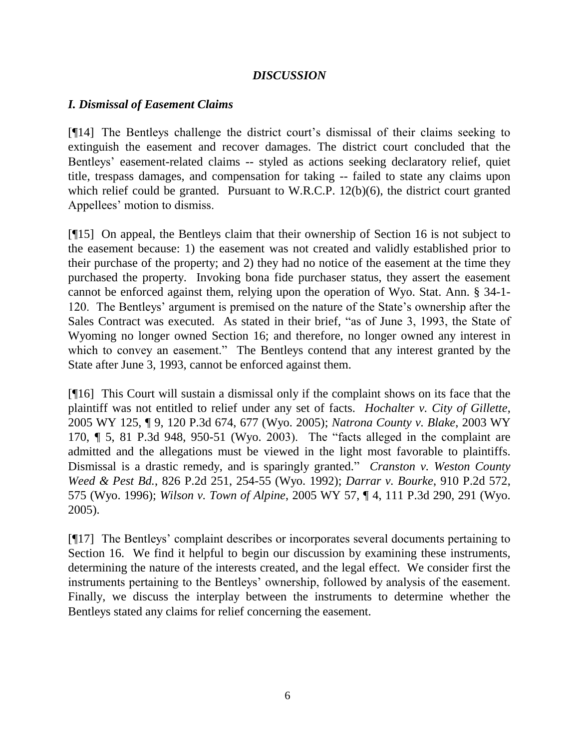### *DISCUSSION*

### *I. Dismissal of Easement Claims*

[¶14] The Bentleys challenge the district court's dismissal of their claims seeking to extinguish the easement and recover damages. The district court concluded that the Bentleys' easement-related claims -- styled as actions seeking declaratory relief, quiet title, trespass damages, and compensation for taking -- failed to state any claims upon which relief could be granted. Pursuant to W.R.C.P. 12(b)(6), the district court granted Appellees' motion to dismiss.

[¶15] On appeal, the Bentleys claim that their ownership of Section 16 is not subject to the easement because: 1) the easement was not created and validly established prior to their purchase of the property; and 2) they had no notice of the easement at the time they purchased the property. Invoking bona fide purchaser status, they assert the easement cannot be enforced against them, relying upon the operation of Wyo. Stat. Ann. § 34-1- 120. The Bentleys" argument is premised on the nature of the State"s ownership after the Sales Contract was executed. As stated in their brief, "as of June 3, 1993, the State of Wyoming no longer owned Section 16; and therefore, no longer owned any interest in which to convey an easement." The Bentleys contend that any interest granted by the State after June 3, 1993, cannot be enforced against them.

[¶16] This Court will sustain a dismissal only if the complaint shows on its face that the plaintiff was not entitled to relief under any set of facts. *Hochalter v. City of Gillette*, 2005 WY 125, ¶ 9, 120 P.3d 674, 677 (Wyo. 2005); *Natrona County v. Blake*, 2003 WY 170, ¶ 5, 81 P.3d 948, 950-51 (Wyo. 2003). The "facts alleged in the complaint are admitted and the allegations must be viewed in the light most favorable to plaintiffs. Dismissal is a drastic remedy, and is sparingly granted." *Cranston v. Weston County Weed & Pest Bd.*, 826 P.2d 251, 254-55 (Wyo. 1992); *Darrar v. Bourke*, 910 P.2d 572, 575 (Wyo. 1996); *Wilson v. Town of Alpine*, 2005 WY 57, ¶ 4, 111 P.3d 290, 291 (Wyo. 2005).

[¶17] The Bentleys" complaint describes or incorporates several documents pertaining to Section 16. We find it helpful to begin our discussion by examining these instruments, determining the nature of the interests created, and the legal effect. We consider first the instruments pertaining to the Bentleys" ownership, followed by analysis of the easement. Finally, we discuss the interplay between the instruments to determine whether the Bentleys stated any claims for relief concerning the easement.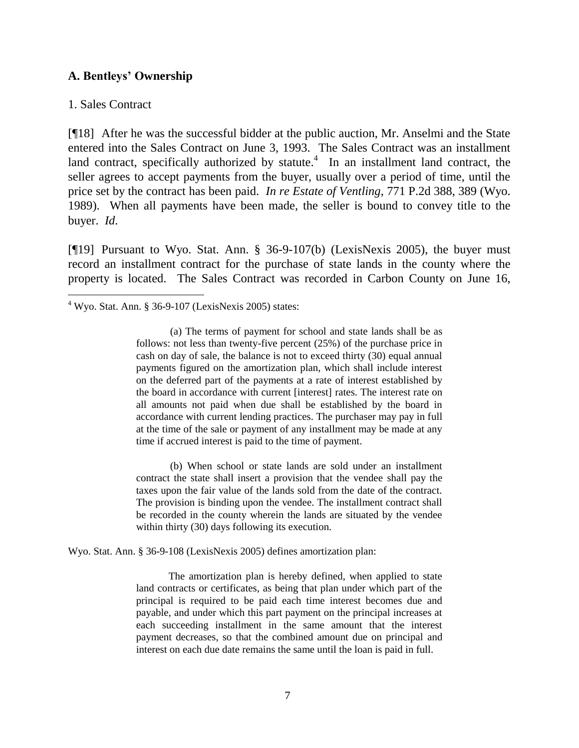### **A. Bentleys' Ownership**

#### 1. Sales Contract

 $\overline{a}$ 

[¶18] After he was the successful bidder at the public auction, Mr. Anselmi and the State entered into the Sales Contract on June 3, 1993. The Sales Contract was an installment land contract, specifically authorized by statute. $4\,$  In an installment land contract, the seller agrees to accept payments from the buyer, usually over a period of time, until the price set by the contract has been paid. *In re Estate of Ventling*, 771 P.2d 388, 389 (Wyo. 1989). When all payments have been made, the seller is bound to convey title to the buyer. *Id*.

[¶19] Pursuant to Wyo. Stat. Ann. § 36-9-107(b) (LexisNexis 2005), the buyer must record an installment contract for the purchase of state lands in the county where the property is located. The Sales Contract was recorded in Carbon County on June 16,

 $4$  Wyo. Stat. Ann. § 36-9-107 (LexisNexis 2005) states:

(a) The terms of payment for school and state lands shall be as follows: not less than twenty-five percent (25%) of the purchase price in cash on day of sale, the balance is not to exceed thirty (30) equal annual payments figured on the amortization plan, which shall include interest on the deferred part of the payments at a rate of interest established by the board in accordance with current [interest] rates. The interest rate on all amounts not paid when due shall be established by the board in accordance with current lending practices. The purchaser may pay in full at the time of the sale or payment of any installment may be made at any time if accrued interest is paid to the time of payment.

(b) When school or state lands are sold under an installment contract the state shall insert a provision that the vendee shall pay the taxes upon the fair value of the lands sold from the date of the contract. The provision is binding upon the vendee. The installment contract shall be recorded in the county wherein the lands are situated by the vendee within thirty (30) days following its execution.

Wyo. Stat. Ann. § 36-9-108 (LexisNexis 2005) defines amortization plan:

The amortization plan is hereby defined, when applied to state land contracts or certificates, as being that plan under which part of the principal is required to be paid each time interest becomes due and payable, and under which this part payment on the principal increases at each succeeding installment in the same amount that the interest payment decreases, so that the combined amount due on principal and interest on each due date remains the same until the loan is paid in full.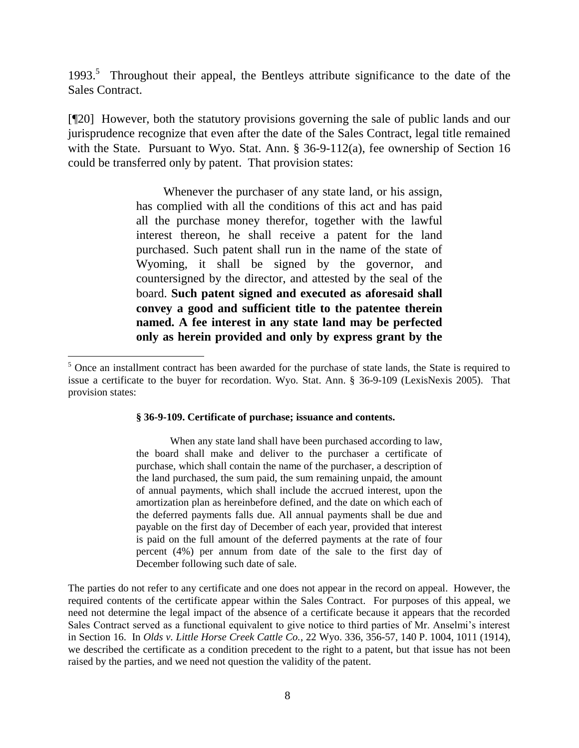1993.<sup>5</sup> Throughout their appeal, the Bentleys attribute significance to the date of the Sales Contract.

[¶20] However, both the statutory provisions governing the sale of public lands and our jurisprudence recognize that even after the date of the Sales Contract, legal title remained with the State. Pursuant to Wyo. Stat. Ann. § 36-9-112(a), fee ownership of Section 16 could be transferred only by patent. That provision states:

> Whenever the purchaser of any state land, or his assign, has complied with all the conditions of this act and has paid all the purchase money therefor, together with the lawful interest thereon, he shall receive a patent for the land purchased. Such patent shall run in the name of the state of Wyoming, it shall be signed by the governor, and countersigned by the director, and attested by the seal of the board. **Such patent signed and executed as aforesaid shall convey a good and sufficient title to the patentee therein named. A fee interest in any state land may be perfected only as herein provided and only by express grant by the**

#### **§ 36-9-109. Certificate of purchase; issuance and contents.**

 $\overline{a}$ 

When any state land shall have been purchased according to law, the board shall make and deliver to the purchaser a certificate of purchase, which shall contain the name of the purchaser, a description of the land purchased, the sum paid, the sum remaining unpaid, the amount of annual payments, which shall include the accrued interest, upon the amortization plan as hereinbefore defined, and the date on which each of the deferred payments falls due. All annual payments shall be due and payable on the first day of December of each year, provided that interest is paid on the full amount of the deferred payments at the rate of four percent (4%) per annum from date of the sale to the first day of December following such date of sale.

The parties do not refer to any certificate and one does not appear in the record on appeal. However, the required contents of the certificate appear within the Sales Contract. For purposes of this appeal, we need not determine the legal impact of the absence of a certificate because it appears that the recorded Sales Contract served as a functional equivalent to give notice to third parties of Mr. Anselmi"s interest in Section 16. In *Olds v. Little Horse Creek Cattle Co.*, 22 Wyo. 336, 356-57, 140 P. 1004, 1011 (1914), we described the certificate as a condition precedent to the right to a patent, but that issue has not been raised by the parties, and we need not question the validity of the patent.

<sup>&</sup>lt;sup>5</sup> Once an installment contract has been awarded for the purchase of state lands, the State is required to issue a certificate to the buyer for recordation. Wyo. Stat. Ann. § 36-9-109 (LexisNexis 2005). That provision states: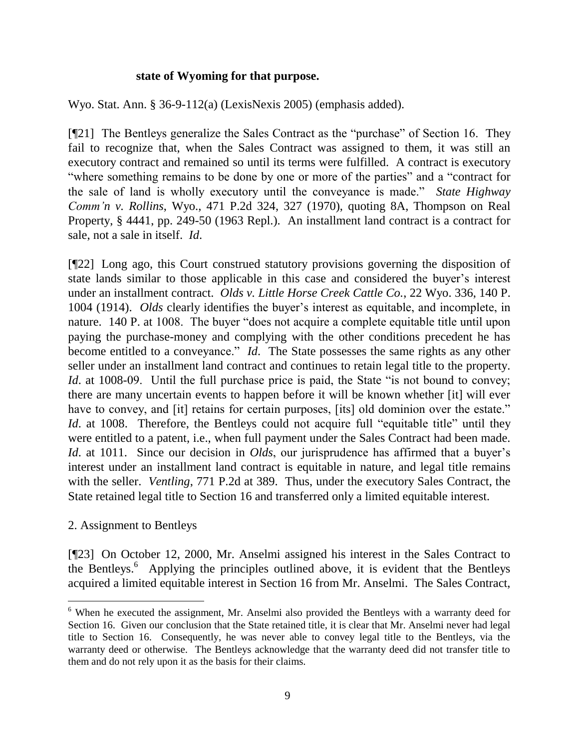### **state of Wyoming for that purpose.**

Wyo. Stat. Ann. § 36-9-112(a) (LexisNexis 2005) (emphasis added).

[¶21] The Bentleys generalize the Sales Contract as the "purchase" of Section 16. They fail to recognize that, when the Sales Contract was assigned to them, it was still an executory contract and remained so until its terms were fulfilled. A contract is executory "where something remains to be done by one or more of the parties" and a "contract for the sale of land is wholly executory until the conveyance is made." *State Highway Comm'n v. Rollins*, Wyo., 471 P.2d 324, 327 (1970), quoting 8A, Thompson on Real Property, § 4441, pp. 249-50 (1963 Repl.). An installment land contract is a contract for sale, not a sale in itself. *Id*.

[¶22] Long ago, this Court construed statutory provisions governing the disposition of state lands similar to those applicable in this case and considered the buyer"s interest under an installment contract. *Olds v. Little Horse Creek Cattle Co.*, 22 Wyo. 336, 140 P. 1004 (1914). *Olds* clearly identifies the buyer"s interest as equitable, and incomplete, in nature. 140 P. at 1008. The buyer "does not acquire a complete equitable title until upon paying the purchase-money and complying with the other conditions precedent he has become entitled to a conveyance." *Id*. The State possesses the same rights as any other seller under an installment land contract and continues to retain legal title to the property. *Id.* at 1008-09. Until the full purchase price is paid, the State "is not bound to convey; there are many uncertain events to happen before it will be known whether [it] will ever have to convey, and [it] retains for certain purposes, [its] old dominion over the estate." *Id.* at 1008. Therefore, the Bentleys could not acquire full "equitable title" until they were entitled to a patent, i.e., when full payment under the Sales Contract had been made. *Id.* at 1011. Since our decision in *Olds*, our jurisprudence has affirmed that a buyer's interest under an installment land contract is equitable in nature, and legal title remains with the seller. *Ventling*, 771 P.2d at 389. Thus, under the executory Sales Contract, the State retained legal title to Section 16 and transferred only a limited equitable interest.

### 2. Assignment to Bentleys

 $\overline{a}$ 

[¶23] On October 12, 2000, Mr. Anselmi assigned his interest in the Sales Contract to the Bentleys.<sup>6</sup> Applying the principles outlined above, it is evident that the Bentleys acquired a limited equitable interest in Section 16 from Mr. Anselmi. The Sales Contract,

<sup>&</sup>lt;sup>6</sup> When he executed the assignment, Mr. Anselmi also provided the Bentleys with a warranty deed for Section 16. Given our conclusion that the State retained title, it is clear that Mr. Anselmi never had legal title to Section 16. Consequently, he was never able to convey legal title to the Bentleys, via the warranty deed or otherwise. The Bentleys acknowledge that the warranty deed did not transfer title to them and do not rely upon it as the basis for their claims.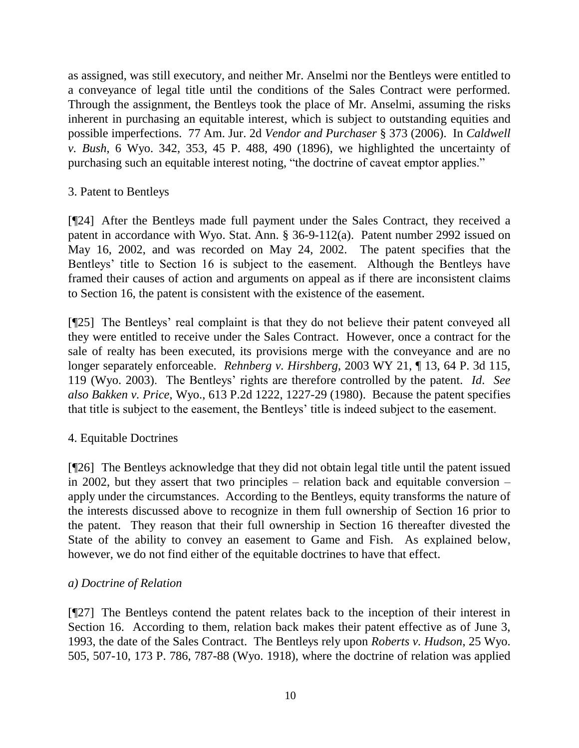as assigned, was still executory, and neither Mr. Anselmi nor the Bentleys were entitled to a conveyance of legal title until the conditions of the Sales Contract were performed. Through the assignment, the Bentleys took the place of Mr. Anselmi, assuming the risks inherent in purchasing an equitable interest, which is subject to outstanding equities and possible imperfections. 77 Am. Jur. 2d *Vendor and Purchaser* § 373 (2006). In *Caldwell v. Bush*, 6 Wyo. 342, 353, 45 P. 488, 490 (1896), we highlighted the uncertainty of purchasing such an equitable interest noting, "the doctrine of caveat emptor applies."

# 3. Patent to Bentleys

[¶24] After the Bentleys made full payment under the Sales Contract, they received a patent in accordance with Wyo. Stat. Ann. § 36-9-112(a). Patent number 2992 issued on May 16, 2002, and was recorded on May 24, 2002. The patent specifies that the Bentleys' title to Section 16 is subject to the easement. Although the Bentleys have framed their causes of action and arguments on appeal as if there are inconsistent claims to Section 16, the patent is consistent with the existence of the easement.

[¶25] The Bentleys" real complaint is that they do not believe their patent conveyed all they were entitled to receive under the Sales Contract. However, once a contract for the sale of realty has been executed, its provisions merge with the conveyance and are no longer separately enforceable. *Rehnberg v. Hirshberg*, 2003 WY 21, ¶ 13, 64 P. 3d 115, 119 (Wyo. 2003). The Bentleys" rights are therefore controlled by the patent. *Id*. *See also Bakken v. Price*, Wyo., 613 P.2d 1222, 1227-29 (1980). Because the patent specifies that title is subject to the easement, the Bentleys" title is indeed subject to the easement.

## 4. Equitable Doctrines

[¶26] The Bentleys acknowledge that they did not obtain legal title until the patent issued in 2002, but they assert that two principles – relation back and equitable conversion – apply under the circumstances. According to the Bentleys, equity transforms the nature of the interests discussed above to recognize in them full ownership of Section 16 prior to the patent. They reason that their full ownership in Section 16 thereafter divested the State of the ability to convey an easement to Game and Fish. As explained below, however, we do not find either of the equitable doctrines to have that effect.

## *a) Doctrine of Relation*

[¶27] The Bentleys contend the patent relates back to the inception of their interest in Section 16. According to them, relation back makes their patent effective as of June 3, 1993, the date of the Sales Contract. The Bentleys rely upon *Roberts v. Hudson*, 25 Wyo. 505, 507-10, 173 P. 786, 787-88 (Wyo. 1918), where the doctrine of relation was applied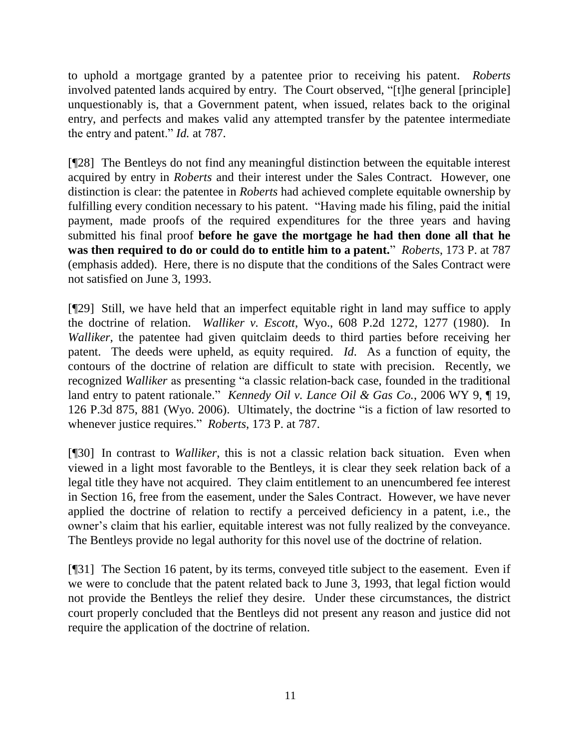to uphold a mortgage granted by a patentee prior to receiving his patent. *Roberts* involved patented lands acquired by entry. The Court observed, "[t]he general [principle] unquestionably is, that a Government patent, when issued, relates back to the original entry, and perfects and makes valid any attempted transfer by the patentee intermediate the entry and patent." *Id.* at 787.

[¶28] The Bentleys do not find any meaningful distinction between the equitable interest acquired by entry in *Roberts* and their interest under the Sales Contract. However, one distinction is clear: the patentee in *Roberts* had achieved complete equitable ownership by fulfilling every condition necessary to his patent. "Having made his filing, paid the initial payment, made proofs of the required expenditures for the three years and having submitted his final proof **before he gave the mortgage he had then done all that he was then required to do or could do to entitle him to a patent.**" *Roberts*, 173 P. at 787 (emphasis added). Here, there is no dispute that the conditions of the Sales Contract were not satisfied on June 3, 1993.

[¶29] Still, we have held that an imperfect equitable right in land may suffice to apply the doctrine of relation. *Walliker v. Escott*, Wyo., 608 P.2d 1272, 1277 (1980). In *Walliker*, the patentee had given quitclaim deeds to third parties before receiving her patent. The deeds were upheld, as equity required. *Id*. As a function of equity, the contours of the doctrine of relation are difficult to state with precision. Recently, we recognized *Walliker* as presenting "a classic relation-back case, founded in the traditional land entry to patent rationale." *Kennedy Oil v. Lance Oil & Gas Co.*, 2006 WY 9, ¶ 19, 126 P.3d 875, 881 (Wyo. 2006). Ultimately, the doctrine "is a fiction of law resorted to whenever justice requires." *Roberts*, 173 P. at 787.

[¶30] In contrast to *Walliker*, this is not a classic relation back situation. Even when viewed in a light most favorable to the Bentleys, it is clear they seek relation back of a legal title they have not acquired. They claim entitlement to an unencumbered fee interest in Section 16, free from the easement, under the Sales Contract. However, we have never applied the doctrine of relation to rectify a perceived deficiency in a patent, i.e., the owner's claim that his earlier, equitable interest was not fully realized by the conveyance. The Bentleys provide no legal authority for this novel use of the doctrine of relation.

[¶31] The Section 16 patent, by its terms, conveyed title subject to the easement. Even if we were to conclude that the patent related back to June 3, 1993, that legal fiction would not provide the Bentleys the relief they desire. Under these circumstances, the district court properly concluded that the Bentleys did not present any reason and justice did not require the application of the doctrine of relation.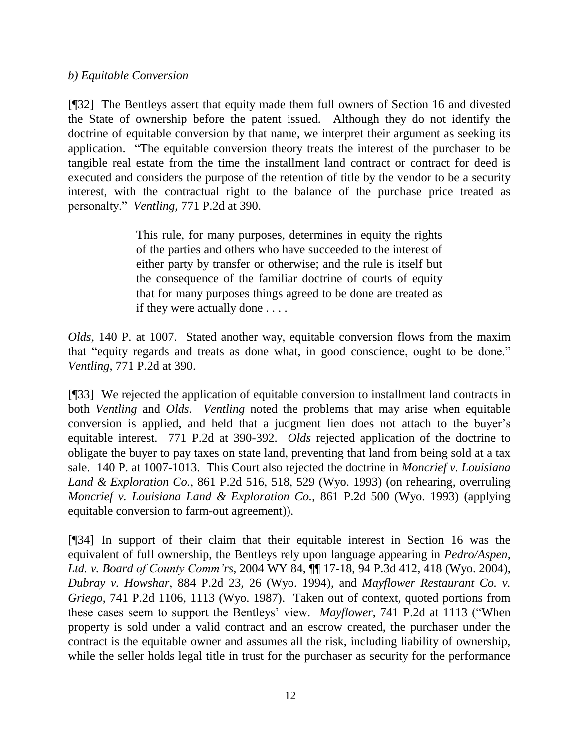## *b) Equitable Conversion*

[¶32] The Bentleys assert that equity made them full owners of Section 16 and divested the State of ownership before the patent issued. Although they do not identify the doctrine of equitable conversion by that name, we interpret their argument as seeking its application. "The equitable conversion theory treats the interest of the purchaser to be tangible real estate from the time the installment land contract or contract for deed is executed and considers the purpose of the retention of title by the vendor to be a security interest, with the contractual right to the balance of the purchase price treated as personalty." *Ventling*, 771 P.2d at 390.

> This rule, for many purposes, determines in equity the rights of the parties and others who have succeeded to the interest of either party by transfer or otherwise; and the rule is itself but the consequence of the familiar doctrine of courts of equity that for many purposes things agreed to be done are treated as if they were actually done . . . .

*Olds*, 140 P. at 1007. Stated another way, equitable conversion flows from the maxim that "equity regards and treats as done what, in good conscience, ought to be done." *Ventling*, 771 P.2d at 390.

[¶33] We rejected the application of equitable conversion to installment land contracts in both *Ventling* and *Olds*. *Ventling* noted the problems that may arise when equitable conversion is applied, and held that a judgment lien does not attach to the buyer's equitable interest. 771 P.2d at 390-392. *Olds* rejected application of the doctrine to obligate the buyer to pay taxes on state land, preventing that land from being sold at a tax sale. 140 P. at 1007-1013. This Court also rejected the doctrine in *Moncrief v. Louisiana Land & Exploration Co.*, 861 P.2d 516, 518, 529 (Wyo. 1993) (on rehearing, overruling *Moncrief v. Louisiana Land & Exploration Co.*, 861 P.2d 500 (Wyo. 1993) (applying equitable conversion to farm-out agreement)).

[¶34] In support of their claim that their equitable interest in Section 16 was the equivalent of full ownership, the Bentleys rely upon language appearing in *Pedro/Aspen, Ltd. v. Board of County Comm'rs*, 2004 WY 84, ¶¶ 17-18, 94 P.3d 412, 418 (Wyo. 2004), *Dubray v. Howshar*, 884 P.2d 23, 26 (Wyo. 1994), and *Mayflower Restaurant Co. v. Griego*, 741 P.2d 1106, 1113 (Wyo. 1987). Taken out of context, quoted portions from these cases seem to support the Bentleys" view. *Mayflower*, 741 P.2d at 1113 ("When property is sold under a valid contract and an escrow created, the purchaser under the contract is the equitable owner and assumes all the risk, including liability of ownership, while the seller holds legal title in trust for the purchaser as security for the performance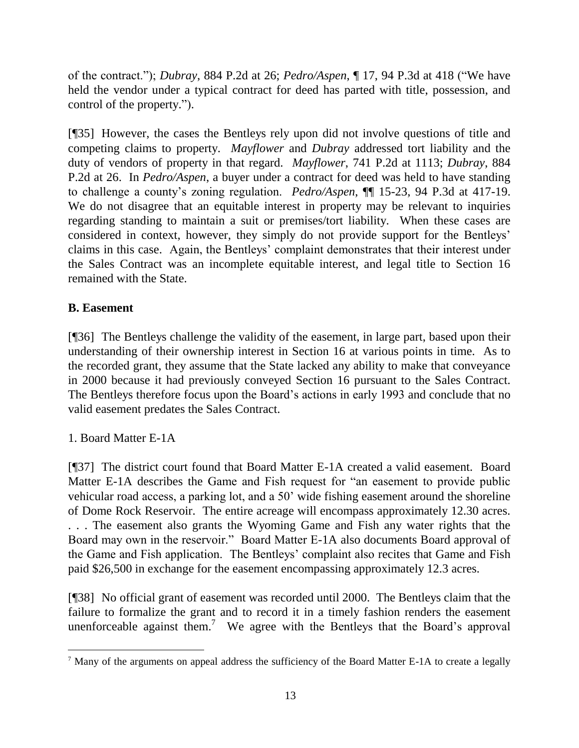of the contract."); *Dubray*, 884 P.2d at 26; *Pedro/Aspen*, ¶ 17, 94 P.3d at 418 ("We have held the vendor under a typical contract for deed has parted with title, possession, and control of the property.").

[¶35] However, the cases the Bentleys rely upon did not involve questions of title and competing claims to property. *Mayflower* and *Dubray* addressed tort liability and the duty of vendors of property in that regard. *Mayflower*, 741 P.2d at 1113; *Dubray*, 884 P.2d at 26. In *Pedro/Aspen*, a buyer under a contract for deed was held to have standing to challenge a county"s zoning regulation. *Pedro/Aspen*, ¶¶ 15-23, 94 P.3d at 417-19. We do not disagree that an equitable interest in property may be relevant to inquiries regarding standing to maintain a suit or premises/tort liability. When these cases are considered in context, however, they simply do not provide support for the Bentleys" claims in this case. Again, the Bentleys" complaint demonstrates that their interest under the Sales Contract was an incomplete equitable interest, and legal title to Section 16 remained with the State.

# **B. Easement**

[¶36] The Bentleys challenge the validity of the easement, in large part, based upon their understanding of their ownership interest in Section 16 at various points in time. As to the recorded grant, they assume that the State lacked any ability to make that conveyance in 2000 because it had previously conveyed Section 16 pursuant to the Sales Contract. The Bentleys therefore focus upon the Board"s actions in early 1993 and conclude that no valid easement predates the Sales Contract.

1. Board Matter E-1A

 $\overline{a}$ 

[¶37] The district court found that Board Matter E-1A created a valid easement. Board Matter E-1A describes the Game and Fish request for "an easement to provide public vehicular road access, a parking lot, and a 50" wide fishing easement around the shoreline of Dome Rock Reservoir. The entire acreage will encompass approximately 12.30 acres. . . . The easement also grants the Wyoming Game and Fish any water rights that the Board may own in the reservoir." Board Matter E-1A also documents Board approval of the Game and Fish application. The Bentleys" complaint also recites that Game and Fish paid \$26,500 in exchange for the easement encompassing approximately 12.3 acres.

[¶38] No official grant of easement was recorded until 2000. The Bentleys claim that the failure to formalize the grant and to record it in a timely fashion renders the easement unenforceable against them.<sup>7</sup> We agree with the Bentleys that the Board's approval

<sup>7</sup> Many of the arguments on appeal address the sufficiency of the Board Matter E-1A to create a legally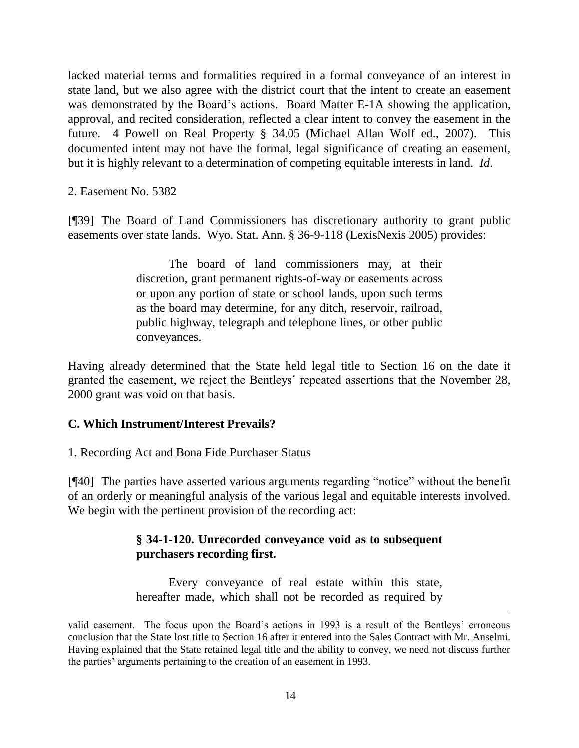lacked material terms and formalities required in a formal conveyance of an interest in state land, but we also agree with the district court that the intent to create an easement was demonstrated by the Board's actions. Board Matter E-1A showing the application, approval, and recited consideration, reflected a clear intent to convey the easement in the future. 4 Powell on Real Property § 34.05 (Michael Allan Wolf ed., 2007). This documented intent may not have the formal, legal significance of creating an easement, but it is highly relevant to a determination of competing equitable interests in land. *Id*.

2. Easement No. 5382

 $\overline{a}$ 

[¶39] The Board of Land Commissioners has discretionary authority to grant public easements over state lands. Wyo. Stat. Ann. § 36-9-118 (LexisNexis 2005) provides:

> The board of land commissioners may, at their discretion, grant permanent rights-of-way or easements across or upon any portion of state or school lands, upon such terms as the board may determine, for any ditch, reservoir, railroad, public highway, telegraph and telephone lines, or other public conveyances.

Having already determined that the State held legal title to Section 16 on the date it granted the easement, we reject the Bentleys" repeated assertions that the November 28, 2000 grant was void on that basis.

## **C. Which Instrument/Interest Prevails?**

1. Recording Act and Bona Fide Purchaser Status

[¶40] The parties have asserted various arguments regarding "notice" without the benefit of an orderly or meaningful analysis of the various legal and equitable interests involved. We begin with the pertinent provision of the recording act:

# **§ 34-1-120. Unrecorded conveyance void as to subsequent purchasers recording first.**

Every conveyance of real estate within this state, hereafter made, which shall not be recorded as required by

valid easement. The focus upon the Board"s actions in 1993 is a result of the Bentleys" erroneous conclusion that the State lost title to Section 16 after it entered into the Sales Contract with Mr. Anselmi. Having explained that the State retained legal title and the ability to convey, we need not discuss further the parties' arguments pertaining to the creation of an easement in 1993.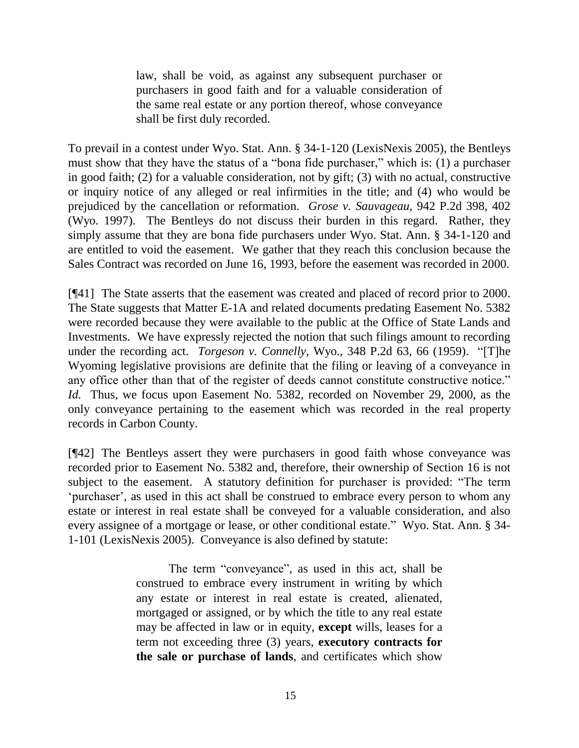law, shall be void, as against any subsequent purchaser or purchasers in good faith and for a valuable consideration of the same real estate or any portion thereof, whose conveyance shall be first duly recorded.

To prevail in a contest under Wyo. Stat. Ann. § 34-1-120 (LexisNexis 2005), the Bentleys must show that they have the status of a "bona fide purchaser," which is: (1) a purchaser in good faith; (2) for a valuable consideration, not by gift; (3) with no actual, constructive or inquiry notice of any alleged or real infirmities in the title; and (4) who would be prejudiced by the cancellation or reformation. *Grose v. Sauvageau*, 942 P.2d 398, 402 (Wyo. 1997). The Bentleys do not discuss their burden in this regard. Rather, they simply assume that they are bona fide purchasers under Wyo. Stat. Ann. § 34-1-120 and are entitled to void the easement. We gather that they reach this conclusion because the Sales Contract was recorded on June 16, 1993, before the easement was recorded in 2000.

[¶41] The State asserts that the easement was created and placed of record prior to 2000. The State suggests that Matter E-1A and related documents predating Easement No. 5382 were recorded because they were available to the public at the Office of State Lands and Investments. We have expressly rejected the notion that such filings amount to recording under the recording act. *Torgeson v. Connelly*, Wyo., 348 P.2d 63, 66 (1959). "[T]he Wyoming legislative provisions are definite that the filing or leaving of a conveyance in any office other than that of the register of deeds cannot constitute constructive notice." *Id.* Thus, we focus upon Easement No. 5382, recorded on November 29, 2000, as the only conveyance pertaining to the easement which was recorded in the real property records in Carbon County.

[¶42] The Bentleys assert they were purchasers in good faith whose conveyance was recorded prior to Easement No. 5382 and, therefore, their ownership of Section 16 is not subject to the easement. A statutory definition for purchaser is provided: "The term 'purchaser', as used in this act shall be construed to embrace every person to whom any estate or interest in real estate shall be conveyed for a valuable consideration, and also every assignee of a mortgage or lease, or other conditional estate." Wyo. Stat. Ann. § 34- 1-101 (LexisNexis 2005). Conveyance is also defined by statute:

> The term "conveyance", as used in this act, shall be construed to embrace every instrument in writing by which any estate or interest in real estate is created, alienated, mortgaged or assigned, or by which the title to any real estate may be affected in law or in equity, **except** wills, leases for a term not exceeding three (3) years, **executory contracts for the sale or purchase of lands**, and certificates which show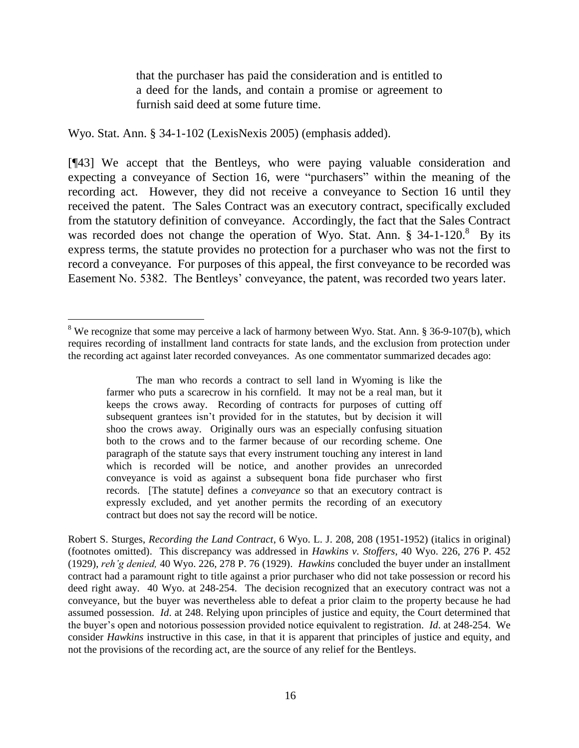that the purchaser has paid the consideration and is entitled to a deed for the lands, and contain a promise or agreement to furnish said deed at some future time.

Wyo. Stat. Ann. § 34-1-102 (LexisNexis 2005) (emphasis added).

 $\overline{a}$ 

[¶43] We accept that the Bentleys, who were paying valuable consideration and expecting a conveyance of Section 16, were "purchasers" within the meaning of the recording act. However, they did not receive a conveyance to Section 16 until they received the patent. The Sales Contract was an executory contract, specifically excluded from the statutory definition of conveyance. Accordingly, the fact that the Sales Contract was recorded does not change the operation of Wyo. Stat. Ann. § 34-1-120.<sup>8</sup> By its express terms, the statute provides no protection for a purchaser who was not the first to record a conveyance. For purposes of this appeal, the first conveyance to be recorded was Easement No. 5382. The Bentleys' conveyance, the patent, was recorded two years later.

The man who records a contract to sell land in Wyoming is like the farmer who puts a scarecrow in his cornfield. It may not be a real man, but it keeps the crows away. Recording of contracts for purposes of cutting off subsequent grantees isn"t provided for in the statutes, but by decision it will shoo the crows away. Originally ours was an especially confusing situation both to the crows and to the farmer because of our recording scheme. One paragraph of the statute says that every instrument touching any interest in land which is recorded will be notice, and another provides an unrecorded conveyance is void as against a subsequent bona fide purchaser who first records. [The statute] defines a *conveyance* so that an executory contract is expressly excluded, and yet another permits the recording of an executory contract but does not say the record will be notice.

Robert S. Sturges, *Recording the Land Contract*, 6 Wyo. L. J. 208, 208 (1951-1952) (italics in original) (footnotes omitted). This discrepancy was addressed in *Hawkins v. Stoffers*, 40 Wyo. 226, 276 P. 452 (1929), *reh'g denied,* 40 Wyo. 226, 278 P. 76 (1929). *Hawkins* concluded the buyer under an installment contract had a paramount right to title against a prior purchaser who did not take possession or record his deed right away. 40 Wyo. at 248-254. The decision recognized that an executory contract was not a conveyance, but the buyer was nevertheless able to defeat a prior claim to the property because he had assumed possession. *Id*. at 248. Relying upon principles of justice and equity, the Court determined that the buyer"s open and notorious possession provided notice equivalent to registration. *Id*. at 248-254. We consider *Hawkins* instructive in this case, in that it is apparent that principles of justice and equity, and not the provisions of the recording act, are the source of any relief for the Bentleys.

 $8$  We recognize that some may perceive a lack of harmony between Wyo. Stat. Ann.  $8$  36-9-107(b), which requires recording of installment land contracts for state lands, and the exclusion from protection under the recording act against later recorded conveyances. As one commentator summarized decades ago: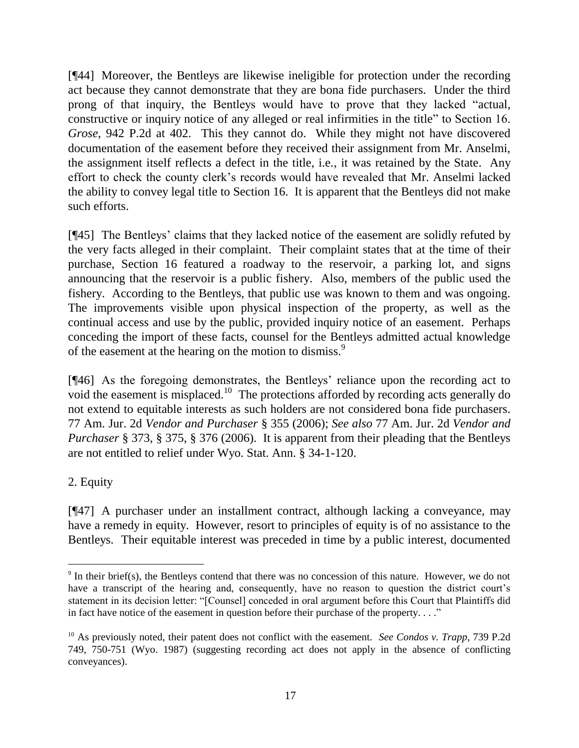[¶44] Moreover, the Bentleys are likewise ineligible for protection under the recording act because they cannot demonstrate that they are bona fide purchasers. Under the third prong of that inquiry, the Bentleys would have to prove that they lacked "actual, constructive or inquiry notice of any alleged or real infirmities in the title" to Section 16. *Grose*, 942 P.2d at 402. This they cannot do. While they might not have discovered documentation of the easement before they received their assignment from Mr. Anselmi, the assignment itself reflects a defect in the title, i.e., it was retained by the State. Any effort to check the county clerk"s records would have revealed that Mr. Anselmi lacked the ability to convey legal title to Section 16. It is apparent that the Bentleys did not make such efforts.

[¶45] The Bentleys" claims that they lacked notice of the easement are solidly refuted by the very facts alleged in their complaint. Their complaint states that at the time of their purchase, Section 16 featured a roadway to the reservoir, a parking lot, and signs announcing that the reservoir is a public fishery. Also, members of the public used the fishery. According to the Bentleys, that public use was known to them and was ongoing. The improvements visible upon physical inspection of the property, as well as the continual access and use by the public, provided inquiry notice of an easement. Perhaps conceding the import of these facts, counsel for the Bentleys admitted actual knowledge of the easement at the hearing on the motion to dismiss.<sup>9</sup>

[¶46] As the foregoing demonstrates, the Bentleys' reliance upon the recording act to void the easement is misplaced.<sup>10</sup> The protections afforded by recording acts generally do not extend to equitable interests as such holders are not considered bona fide purchasers. 77 Am. Jur. 2d *Vendor and Purchaser* § 355 (2006); *See also* 77 Am. Jur. 2d *Vendor and Purchaser* § 373, § 375, § 376 (2006). It is apparent from their pleading that the Bentleys are not entitled to relief under Wyo. Stat. Ann. § 34-1-120.

## 2. Equity

 $\overline{a}$ 

[¶47] A purchaser under an installment contract, although lacking a conveyance, may have a remedy in equity. However, resort to principles of equity is of no assistance to the Bentleys. Their equitable interest was preceded in time by a public interest, documented

 $9 \text{ In their brief(s)}$ , the Bentleys contend that there was no concession of this nature. However, we do not have a transcript of the hearing and, consequently, have no reason to question the district court's statement in its decision letter: "[Counsel] conceded in oral argument before this Court that Plaintiffs did in fact have notice of the easement in question before their purchase of the property...."

<sup>10</sup> As previously noted, their patent does not conflict with the easement. *See Condos v. Trapp*, 739 P.2d 749, 750-751 (Wyo. 1987) (suggesting recording act does not apply in the absence of conflicting conveyances).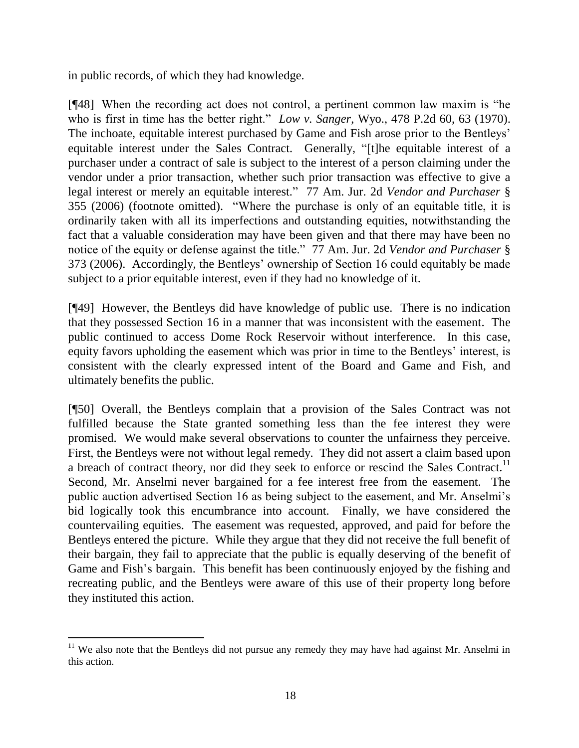in public records, of which they had knowledge.

[¶48] When the recording act does not control, a pertinent common law maxim is "he who is first in time has the better right." *Low v. Sanger*, Wyo., 478 P.2d 60, 63 (1970). The inchoate, equitable interest purchased by Game and Fish arose prior to the Bentleys' equitable interest under the Sales Contract. Generally, "[t]he equitable interest of a purchaser under a contract of sale is subject to the interest of a person claiming under the vendor under a prior transaction, whether such prior transaction was effective to give a legal interest or merely an equitable interest." 77 Am. Jur. 2d *Vendor and Purchaser* § 355 (2006) (footnote omitted). "Where the purchase is only of an equitable title, it is ordinarily taken with all its imperfections and outstanding equities, notwithstanding the fact that a valuable consideration may have been given and that there may have been no notice of the equity or defense against the title." 77 Am. Jur. 2d *Vendor and Purchaser* § 373 (2006). Accordingly, the Bentleys" ownership of Section 16 could equitably be made subject to a prior equitable interest, even if they had no knowledge of it.

[¶49] However, the Bentleys did have knowledge of public use. There is no indication that they possessed Section 16 in a manner that was inconsistent with the easement. The public continued to access Dome Rock Reservoir without interference. In this case, equity favors upholding the easement which was prior in time to the Bentleys" interest, is consistent with the clearly expressed intent of the Board and Game and Fish, and ultimately benefits the public.

[¶50] Overall, the Bentleys complain that a provision of the Sales Contract was not fulfilled because the State granted something less than the fee interest they were promised. We would make several observations to counter the unfairness they perceive. First, the Bentleys were not without legal remedy. They did not assert a claim based upon a breach of contract theory, nor did they seek to enforce or rescind the Sales Contract.<sup>11</sup> Second, Mr. Anselmi never bargained for a fee interest free from the easement. The public auction advertised Section 16 as being subject to the easement, and Mr. Anselmi"s bid logically took this encumbrance into account. Finally, we have considered the countervailing equities. The easement was requested, approved, and paid for before the Bentleys entered the picture. While they argue that they did not receive the full benefit of their bargain, they fail to appreciate that the public is equally deserving of the benefit of Game and Fish"s bargain. This benefit has been continuously enjoyed by the fishing and recreating public, and the Bentleys were aware of this use of their property long before they instituted this action.

 $\overline{a}$ 

<sup>&</sup>lt;sup>11</sup> We also note that the Bentleys did not pursue any remedy they may have had against Mr. Anselmi in this action.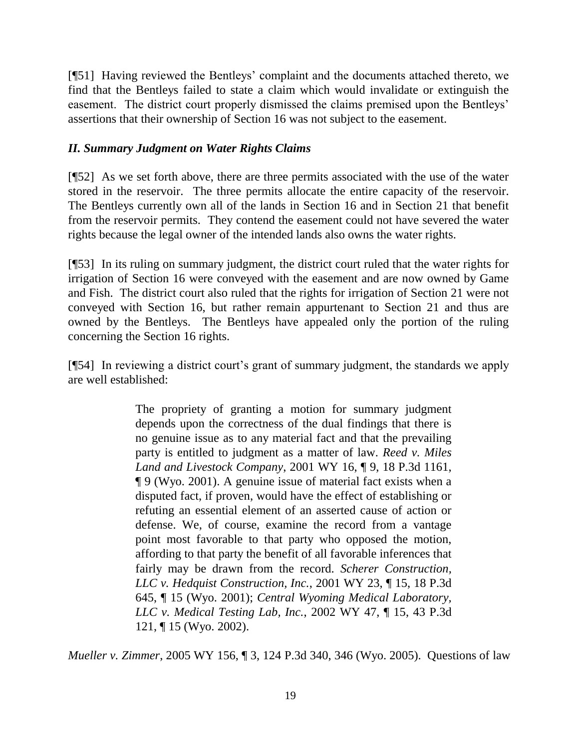[¶51] Having reviewed the Bentleys" complaint and the documents attached thereto, we find that the Bentleys failed to state a claim which would invalidate or extinguish the easement. The district court properly dismissed the claims premised upon the Bentleys' assertions that their ownership of Section 16 was not subject to the easement.

## *II. Summary Judgment on Water Rights Claims*

[¶52] As we set forth above, there are three permits associated with the use of the water stored in the reservoir. The three permits allocate the entire capacity of the reservoir. The Bentleys currently own all of the lands in Section 16 and in Section 21 that benefit from the reservoir permits. They contend the easement could not have severed the water rights because the legal owner of the intended lands also owns the water rights.

[¶53] In its ruling on summary judgment, the district court ruled that the water rights for irrigation of Section 16 were conveyed with the easement and are now owned by Game and Fish. The district court also ruled that the rights for irrigation of Section 21 were not conveyed with Section 16, but rather remain appurtenant to Section 21 and thus are owned by the Bentleys. The Bentleys have appealed only the portion of the ruling concerning the Section 16 rights.

[¶54] In reviewing a district court"s grant of summary judgment, the standards we apply are well established:

> The propriety of granting a motion for summary judgment depends upon the correctness of the dual findings that there is no genuine issue as to any material fact and that the prevailing party is entitled to judgment as a matter of law. *Reed v. Miles Land and Livestock Company*, 2001 WY 16, ¶ 9, 18 P.3d 1161, ¶ 9 (Wyo. 2001). A genuine issue of material fact exists when a disputed fact, if proven, would have the effect of establishing or refuting an essential element of an asserted cause of action or defense. We, of course, examine the record from a vantage point most favorable to that party who opposed the motion, affording to that party the benefit of all favorable inferences that fairly may be drawn from the record. *Scherer Construction, LLC v. Hedquist Construction, Inc.*, 2001 WY 23, ¶ 15, 18 P.3d 645, ¶ 15 (Wyo. 2001); *Central Wyoming Medical Laboratory, LLC v. Medical Testing Lab, Inc.*, 2002 WY 47, ¶ 15, 43 P.3d 121, ¶ 15 (Wyo. 2002).

*Mueller v. Zimmer*, 2005 WY 156, ¶ 3, 124 P.3d 340, 346 (Wyo. 2005). Questions of law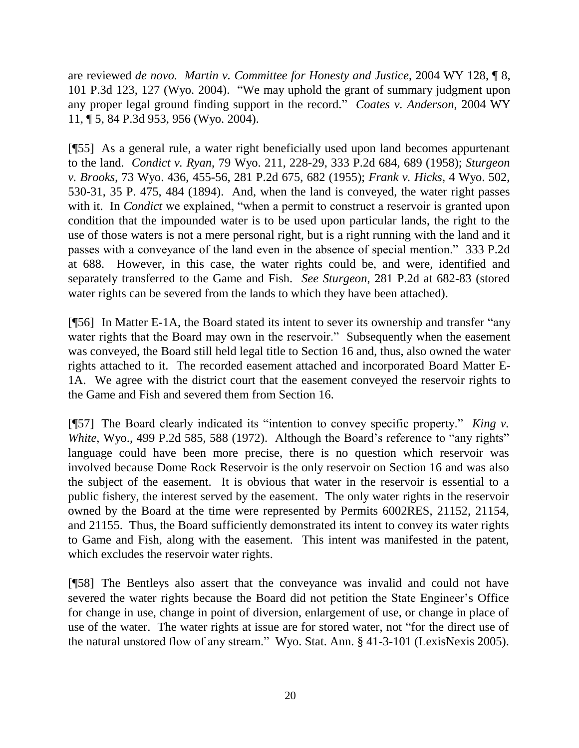are reviewed *de novo. Martin v. Committee for Honesty and Justice*, 2004 WY 128, ¶ 8, 101 P.3d 123, 127 (Wyo. 2004). "We may uphold the grant of summary judgment upon any proper legal ground finding support in the record." *Coates v. Anderson*, 2004 WY 11, ¶ 5, 84 P.3d 953, 956 (Wyo. 2004).

[¶55] As a general rule, a water right beneficially used upon land becomes appurtenant to the land. *Condict v. Ryan*, 79 Wyo. 211, 228-29, 333 P.2d 684, 689 (1958); *Sturgeon v. Brooks*, 73 Wyo. 436, 455-56, 281 P.2d 675, 682 (1955); *Frank v. Hicks*, 4 Wyo. 502, 530-31, 35 P. 475, 484 (1894). And, when the land is conveyed, the water right passes with it. In *Condict* we explained, "when a permit to construct a reservoir is granted upon condition that the impounded water is to be used upon particular lands, the right to the use of those waters is not a mere personal right, but is a right running with the land and it passes with a conveyance of the land even in the absence of special mention." 333 P.2d at 688. However, in this case, the water rights could be, and were, identified and separately transferred to the Game and Fish. *See Sturgeon*, 281 P.2d at 682-83 (stored water rights can be severed from the lands to which they have been attached).

[¶56] In Matter E-1A, the Board stated its intent to sever its ownership and transfer "any water rights that the Board may own in the reservoir." Subsequently when the easement was conveyed, the Board still held legal title to Section 16 and, thus, also owned the water rights attached to it. The recorded easement attached and incorporated Board Matter E-1A. We agree with the district court that the easement conveyed the reservoir rights to the Game and Fish and severed them from Section 16.

[¶57] The Board clearly indicated its "intention to convey specific property." *King v. White*, Wyo., 499 P.2d 585, 588 (1972). Although the Board's reference to "any rights" language could have been more precise, there is no question which reservoir was involved because Dome Rock Reservoir is the only reservoir on Section 16 and was also the subject of the easement. It is obvious that water in the reservoir is essential to a public fishery, the interest served by the easement. The only water rights in the reservoir owned by the Board at the time were represented by Permits 6002RES, 21152, 21154, and 21155. Thus, the Board sufficiently demonstrated its intent to convey its water rights to Game and Fish, along with the easement. This intent was manifested in the patent, which excludes the reservoir water rights.

[¶58] The Bentleys also assert that the conveyance was invalid and could not have severed the water rights because the Board did not petition the State Engineer"s Office for change in use, change in point of diversion, enlargement of use, or change in place of use of the water. The water rights at issue are for stored water, not "for the direct use of the natural unstored flow of any stream." Wyo. Stat. Ann. § 41-3-101 (LexisNexis 2005).